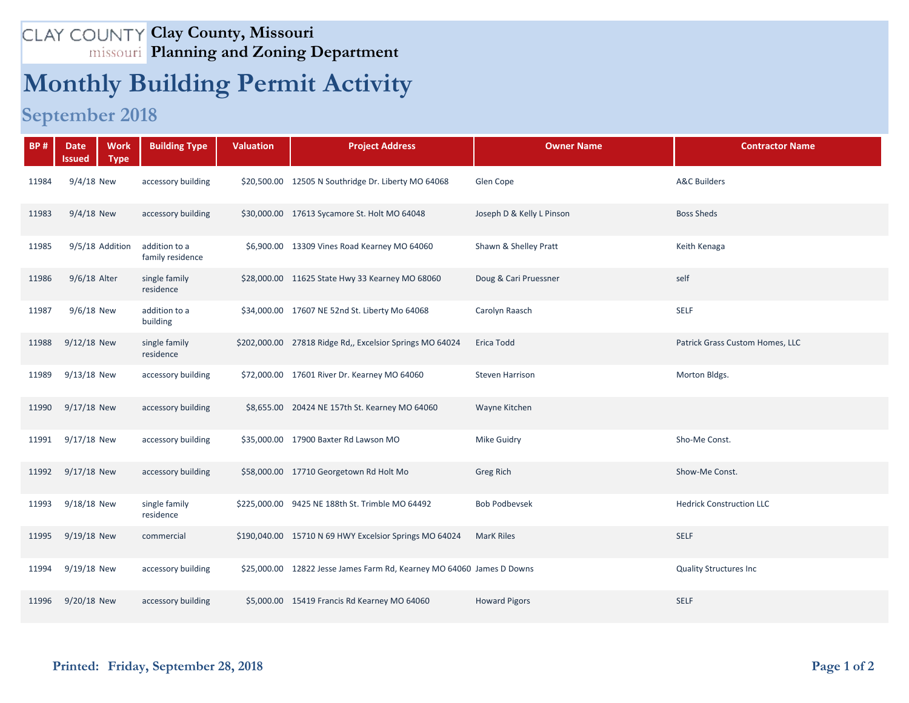## **Clay County, Missouri Planning and Zoning Department**

## **Monthly Building Permit Activity**

## **September 2018**

| <b>BP#</b> | <b>Work</b><br><b>Date</b><br><b>Type</b><br>lssued | <b>Building Type</b>              | <b>Valuation</b> | <b>Project Address</b>                                                | <b>Owner Name</b>         | <b>Contractor Name</b>          |
|------------|-----------------------------------------------------|-----------------------------------|------------------|-----------------------------------------------------------------------|---------------------------|---------------------------------|
| 11984      | 9/4/18 New                                          | accessory building                |                  | \$20,500.00 12505 N Southridge Dr. Liberty MO 64068                   | Glen Cope                 | <b>A&amp;C Builders</b>         |
| 11983      | $9/4/18$ New                                        | accessory building                |                  | \$30,000.00 17613 Sycamore St. Holt MO 64048                          | Joseph D & Kelly L Pinson | <b>Boss Sheds</b>               |
| 11985      | 9/5/18 Addition                                     | addition to a<br>family residence |                  | \$6,900.00 13309 Vines Road Kearney MO 64060                          | Shawn & Shelley Pratt     | Keith Kenaga                    |
| 11986      | 9/6/18 Alter                                        | single family<br>residence        |                  | \$28,000.00 11625 State Hwy 33 Kearney MO 68060                       | Doug & Cari Pruessner     | self                            |
| 11987      | 9/6/18 New                                          | addition to a<br>building         |                  | \$34,000.00 17607 NE 52nd St. Liberty Mo 64068                        | Carolyn Raasch            | <b>SELF</b>                     |
| 11988      | 9/12/18 New                                         | single family<br>residence        |                  | \$202,000.00 27818 Ridge Rd,, Excelsior Springs MO 64024              | Erica Todd                | Patrick Grass Custom Homes, LLC |
| 11989      | 9/13/18 New                                         | accessory building                |                  | \$72,000.00 17601 River Dr. Kearney MO 64060                          | <b>Steven Harrison</b>    | Morton Bldgs.                   |
| 11990      | 9/17/18 New                                         | accessory building                |                  | \$8,655.00 20424 NE 157th St. Kearney MO 64060                        | Wayne Kitchen             |                                 |
| 11991      | 9/17/18 New                                         | accessory building                |                  | \$35,000.00 17900 Baxter Rd Lawson MO                                 | <b>Mike Guidry</b>        | Sho-Me Const.                   |
| 11992      | 9/17/18 New                                         | accessory building                |                  | \$58,000.00 17710 Georgetown Rd Holt Mo                               | Greg Rich                 | Show-Me Const.                  |
| 11993      | 9/18/18 New                                         | single family<br>residence        |                  | \$225,000.00 9425 NE 188th St. Trimble MO 64492                       | <b>Bob Podbevsek</b>      | <b>Hedrick Construction LLC</b> |
| 11995      | 9/19/18 New                                         | commercial                        |                  | \$190,040.00 15710 N 69 HWY Excelsior Springs MO 64024                | <b>MarK Riles</b>         | <b>SELF</b>                     |
| 11994      | 9/19/18 New                                         | accessory building                |                  | \$25,000.00 12822 Jesse James Farm Rd, Kearney MO 64060 James D Downs |                           | <b>Quality Structures Inc</b>   |
| 11996      | 9/20/18 New                                         | accessory building                |                  | \$5,000.00 15419 Francis Rd Kearney MO 64060                          | <b>Howard Pigors</b>      | <b>SELF</b>                     |